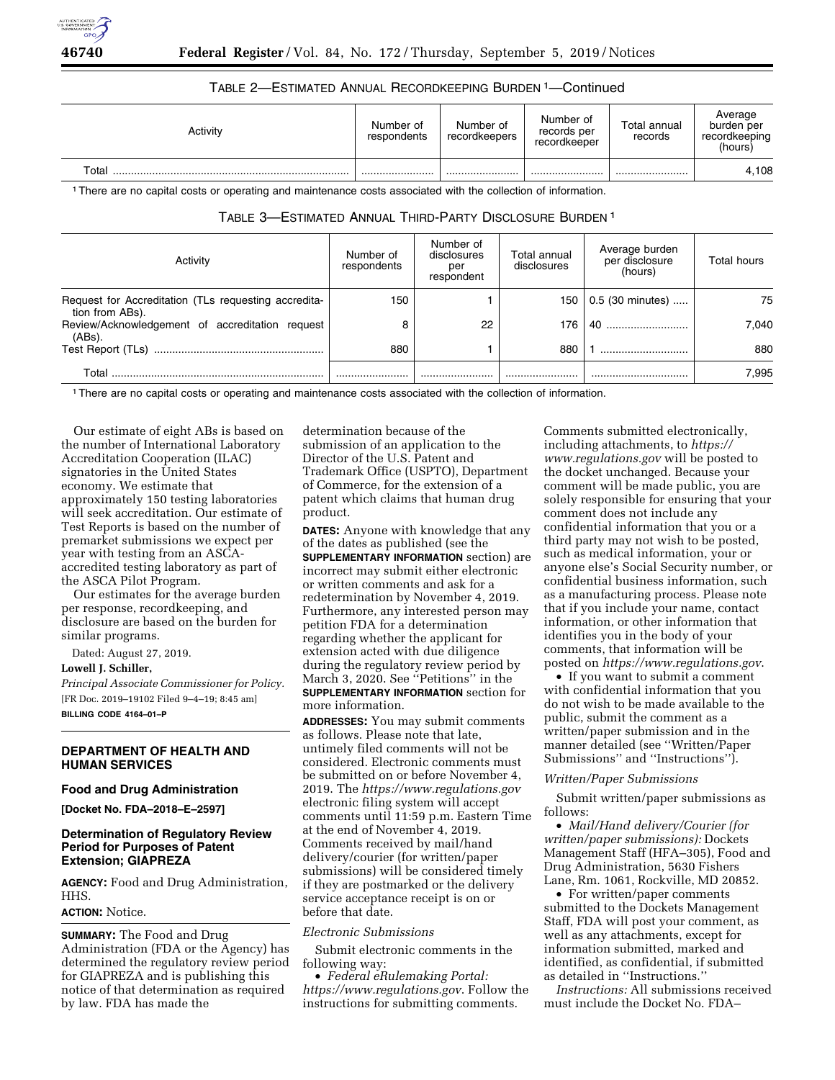

| Activity | Number of<br>respondents | Number of<br>recordkeepers | Number of<br>records per<br>recordkeeper | Total annual<br>records | Average<br>burden per<br>recordkeeping<br>(hours) |
|----------|--------------------------|----------------------------|------------------------------------------|-------------------------|---------------------------------------------------|
| Total    |                          |                            |                                          |                         | 4,108                                             |

## TABLE 2—ESTIMATED ANNUAL RECORDKEEPING BURDEN 1—Continued

1There are no capital costs or operating and maintenance costs associated with the collection of information.

# TABLE 3—ESTIMATED ANNUAL THIRD-PARTY DISCLOSURE BURDEN 1

| Activity                                                                | Number of<br>respondents | Number of<br>disclosures<br>per<br>respondent | Total annual<br>disclosures | Average burden<br>per disclosure<br>(hours) | Total hours |
|-------------------------------------------------------------------------|--------------------------|-----------------------------------------------|-----------------------------|---------------------------------------------|-------------|
| Request for Accreditation (TLs requesting accredita-<br>tion from ABs). | 150                      |                                               | 150                         | 0.5 (30 minutes)                            | 75          |
| Review/Acknowledgement of accreditation<br>reauest<br>$(ABs)$ .         | 8                        | 22                                            | 176                         | 40                                          | 7.040       |
| Test Report (TLs)                                                       | 880                      |                                               | 880                         |                                             | 880         |
| Total                                                                   |                          |                                               |                             |                                             | 7.995       |

1There are no capital costs or operating and maintenance costs associated with the collection of information.

Our estimate of eight ABs is based on the number of International Laboratory Accreditation Cooperation (ILAC) signatories in the United States economy. We estimate that approximately 150 testing laboratories will seek accreditation. Our estimate of Test Reports is based on the number of premarket submissions we expect per year with testing from an ASCAaccredited testing laboratory as part of the ASCA Pilot Program.

Our estimates for the average burden per response, recordkeeping, and disclosure are based on the burden for similar programs.

Dated: August 27, 2019.

# **Lowell J. Schiller,**

*Principal Associate Commissioner for Policy.*  [FR Doc. 2019–19102 Filed 9–4–19; 8:45 am] **BILLING CODE 4164–01–P** 

### **DEPARTMENT OF HEALTH AND HUMAN SERVICES**

#### **Food and Drug Administration**

**[Docket No. FDA–2018–E–2597]** 

### **Determination of Regulatory Review Period for Purposes of Patent Extension; GIAPREZA**

**AGENCY:** Food and Drug Administration, HHS.

### **ACTION:** Notice.

**SUMMARY:** The Food and Drug Administration (FDA or the Agency) has determined the regulatory review period for GIAPREZA and is publishing this notice of that determination as required by law. FDA has made the

determination because of the submission of an application to the Director of the U.S. Patent and Trademark Office (USPTO), Department of Commerce, for the extension of a patent which claims that human drug product.

**DATES:** Anyone with knowledge that any of the dates as published (see the **SUPPLEMENTARY INFORMATION** section) are incorrect may submit either electronic or written comments and ask for a redetermination by November 4, 2019. Furthermore, any interested person may petition FDA for a determination regarding whether the applicant for extension acted with due diligence during the regulatory review period by March 3, 2020. See ''Petitions'' in the **SUPPLEMENTARY INFORMATION** section for more information.

**ADDRESSES:** You may submit comments as follows. Please note that late, untimely filed comments will not be considered. Electronic comments must be submitted on or before November 4, 2019. The *<https://www.regulations.gov>* electronic filing system will accept comments until 11:59 p.m. Eastern Time at the end of November 4, 2019. Comments received by mail/hand delivery/courier (for written/paper submissions) will be considered timely if they are postmarked or the delivery service acceptance receipt is on or before that date.

### *Electronic Submissions*

Submit electronic comments in the following way:

• *Federal eRulemaking Portal: <https://www.regulations.gov>*. Follow the instructions for submitting comments.

Comments submitted electronically, including attachments, to *[https://](https://www.regulations.gov) [www.regulations.gov](https://www.regulations.gov)* will be posted to the docket unchanged. Because your comment will be made public, you are solely responsible for ensuring that your comment does not include any confidential information that you or a third party may not wish to be posted, such as medical information, your or anyone else's Social Security number, or confidential business information, such as a manufacturing process. Please note that if you include your name, contact information, or other information that identifies you in the body of your comments, that information will be posted on *<https://www.regulations.gov>*.

• If you want to submit a comment with confidential information that you do not wish to be made available to the public, submit the comment as a written/paper submission and in the manner detailed (see ''Written/Paper Submissions'' and ''Instructions'').

#### *Written/Paper Submissions*

Submit written/paper submissions as follows:

• *Mail/Hand delivery/Courier (for written/paper submissions):* Dockets Management Staff (HFA–305), Food and Drug Administration, 5630 Fishers Lane, Rm. 1061, Rockville, MD 20852.

• For written/paper comments submitted to the Dockets Management Staff, FDA will post your comment, as well as any attachments, except for information submitted, marked and identified, as confidential, if submitted as detailed in ''Instructions.''

*Instructions:* All submissions received must include the Docket No. FDA–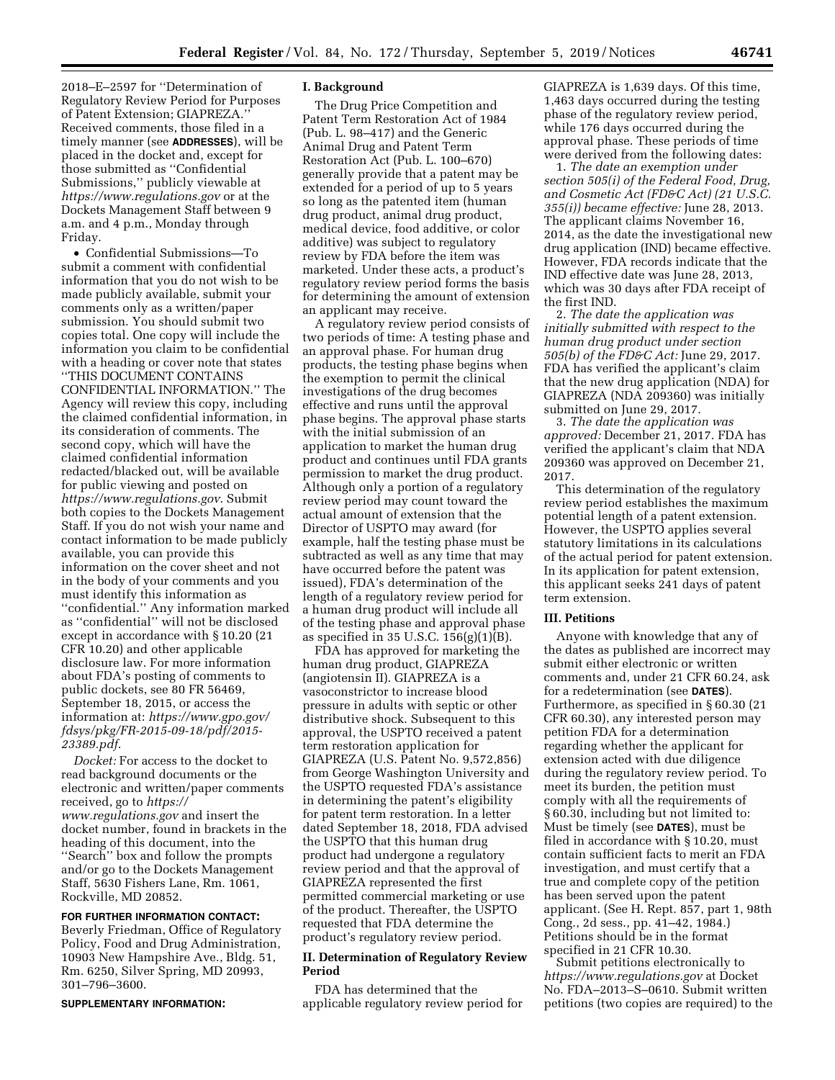2018–E–2597 for ''Determination of Regulatory Review Period for Purposes of Patent Extension; GIAPREZA.'' Received comments, those filed in a timely manner (see **ADDRESSES**), will be placed in the docket and, except for those submitted as ''Confidential Submissions,'' publicly viewable at *<https://www.regulations.gov>* or at the Dockets Management Staff between 9 a.m. and 4 p.m., Monday through Friday.

• Confidential Submissions—To submit a comment with confidential information that you do not wish to be made publicly available, submit your comments only as a written/paper submission. You should submit two copies total. One copy will include the information you claim to be confidential with a heading or cover note that states ''THIS DOCUMENT CONTAINS CONFIDENTIAL INFORMATION.'' The Agency will review this copy, including the claimed confidential information, in its consideration of comments. The second copy, which will have the claimed confidential information redacted/blacked out, will be available for public viewing and posted on *<https://www.regulations.gov>*. Submit both copies to the Dockets Management Staff. If you do not wish your name and contact information to be made publicly available, you can provide this information on the cover sheet and not in the body of your comments and you must identify this information as ''confidential.'' Any information marked as ''confidential'' will not be disclosed except in accordance with § 10.20 (21 CFR 10.20) and other applicable disclosure law. For more information about FDA's posting of comments to public dockets, see 80 FR 56469, September 18, 2015, or access the information at: *[https://www.gpo.gov/](https://www.gpo.gov/fdsys/pkg/FR-2015-09-18/pdf/2015-23389.pdf)  [fdsys/pkg/FR-2015-09-18/pdf/2015-](https://www.gpo.gov/fdsys/pkg/FR-2015-09-18/pdf/2015-23389.pdf)  [23389.pdf](https://www.gpo.gov/fdsys/pkg/FR-2015-09-18/pdf/2015-23389.pdf)*.

*Docket:* For access to the docket to read background documents or the electronic and written/paper comments received, go to *[https://](https://www.regulations.gov) [www.regulations.gov](https://www.regulations.gov)* and insert the docket number, found in brackets in the heading of this document, into the ''Search'' box and follow the prompts and/or go to the Dockets Management Staff, 5630 Fishers Lane, Rm. 1061, Rockville, MD 20852.

**FOR FURTHER INFORMATION CONTACT:**  Beverly Friedman, Office of Regulatory Policy, Food and Drug Administration, 10903 New Hampshire Ave., Bldg. 51, Rm. 6250, Silver Spring, MD 20993, 301–796–3600.

#### **SUPPLEMENTARY INFORMATION:**

#### **I. Background**

The Drug Price Competition and Patent Term Restoration Act of 1984 (Pub. L. 98–417) and the Generic Animal Drug and Patent Term Restoration Act (Pub. L. 100–670) generally provide that a patent may be extended for a period of up to 5 years so long as the patented item (human drug product, animal drug product, medical device, food additive, or color additive) was subject to regulatory review by FDA before the item was marketed. Under these acts, a product's regulatory review period forms the basis for determining the amount of extension an applicant may receive.

A regulatory review period consists of two periods of time: A testing phase and an approval phase. For human drug products, the testing phase begins when the exemption to permit the clinical investigations of the drug becomes effective and runs until the approval phase begins. The approval phase starts with the initial submission of an application to market the human drug product and continues until FDA grants permission to market the drug product. Although only a portion of a regulatory review period may count toward the actual amount of extension that the Director of USPTO may award (for example, half the testing phase must be subtracted as well as any time that may have occurred before the patent was issued), FDA's determination of the length of a regulatory review period for a human drug product will include all of the testing phase and approval phase as specified in 35 U.S.C. 156(g)(1)(B).

FDA has approved for marketing the human drug product, GIAPREZA (angiotensin II). GIAPREZA is a vasoconstrictor to increase blood pressure in adults with septic or other distributive shock. Subsequent to this approval, the USPTO received a patent term restoration application for GIAPREZA (U.S. Patent No. 9,572,856) from George Washington University and the USPTO requested FDA's assistance in determining the patent's eligibility for patent term restoration. In a letter dated September 18, 2018, FDA advised the USPTO that this human drug product had undergone a regulatory review period and that the approval of GIAPREZA represented the first permitted commercial marketing or use of the product. Thereafter, the USPTO requested that FDA determine the product's regulatory review period.

### **II. Determination of Regulatory Review Period**

FDA has determined that the applicable regulatory review period for GIAPREZA is 1,639 days. Of this time, 1,463 days occurred during the testing phase of the regulatory review period, while 176 days occurred during the approval phase. These periods of time were derived from the following dates:

1. *The date an exemption under section 505(i) of the Federal Food, Drug, and Cosmetic Act (FD&C Act) (21 U.S.C. 355(i)) became effective:* June 28, 2013. The applicant claims November 16, 2014, as the date the investigational new drug application (IND) became effective. However, FDA records indicate that the IND effective date was June 28, 2013, which was 30 days after FDA receipt of the first IND.

2. *The date the application was initially submitted with respect to the human drug product under section 505(b) of the FD&C Act:* June 29, 2017. FDA has verified the applicant's claim that the new drug application (NDA) for GIAPREZA (NDA 209360) was initially submitted on June 29, 2017.

3. *The date the application was approved:* December 21, 2017. FDA has verified the applicant's claim that NDA 209360 was approved on December 21, 2017.

This determination of the regulatory review period establishes the maximum potential length of a patent extension. However, the USPTO applies several statutory limitations in its calculations of the actual period for patent extension. In its application for patent extension, this applicant seeks 241 days of patent term extension.

#### **III. Petitions**

Anyone with knowledge that any of the dates as published are incorrect may submit either electronic or written comments and, under 21 CFR 60.24, ask for a redetermination (see **DATES**). Furthermore, as specified in § 60.30 (21 CFR 60.30), any interested person may petition FDA for a determination regarding whether the applicant for extension acted with due diligence during the regulatory review period. To meet its burden, the petition must comply with all the requirements of § 60.30, including but not limited to: Must be timely (see **DATES**), must be filed in accordance with § 10.20, must contain sufficient facts to merit an FDA investigation, and must certify that a true and complete copy of the petition has been served upon the patent applicant. (See H. Rept. 857, part 1, 98th Cong., 2d sess., pp. 41–42, 1984.) Petitions should be in the format specified in 21 CFR 10.30.

Submit petitions electronically to *<https://www.regulations.gov>* at Docket No. FDA–2013–S–0610. Submit written petitions (two copies are required) to the